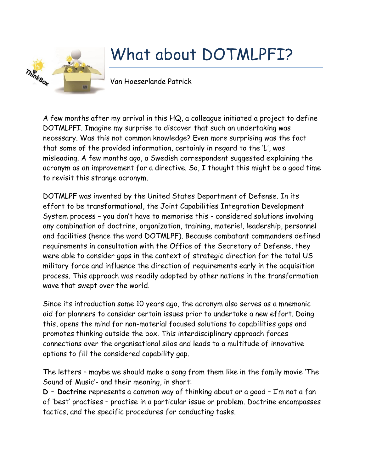

## What about DOTMLPFI?

Van Hoeserlande Patrick

A few months after my arrival in this HQ, a colleague initiated a project to define DOTMLPFI. Imagine my surprise to discover that such an undertaking was necessary. Was this not common knowledge? Even more surprising was the fact that some of the provided information, certainly in regard to the 'L', was misleading. A few months ago, a Swedish correspondent suggested explaining the acronym as an improvement for a directive. So, I thought this might be a good time to revisit this strange acronym.

DOTMLPF was invented by the United States Department of Defense. In its effort to be transformational, the Joint Capabilities Integration Development System process – you don't have to memorise this - considered solutions involving any combination of doctrine, organization, training, materiel, leadership, personnel and facilities (hence the word DOTMLPF). Because combatant commanders defined requirements in consultation with the Office of the Secretary of Defense, they were able to consider gaps in the context of strategic direction for the total US military force and influence the direction of requirements early in the acquisition process. This approach was readily adopted by other nations in the transformation wave that swept over the world.

Since its introduction some 10 years ago, the acronym also serves as a mnemonic aid for planners to consider certain issues prior to undertake a new effort. Doing this, opens the mind for non-material focused solutions to capabilities gaps and promotes thinking outside the box. This interdisciplinary approach forces connections over the organisational silos and leads to a multitude of innovative options to fill the considered capability gap.

The letters – maybe we should make a song from them like in the family movie 'The Sound of Music'- and their meaning, in short:

**D – Doctrine** represents a common way of thinking about or a good – I'm not a fan of 'best' practises – practise in a particular issue or problem. Doctrine encompasses tactics, and the specific procedures for conducting tasks.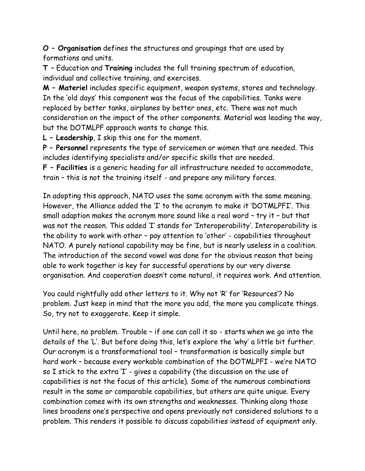**O – Organisation** defines the structures and groupings that are used by formations and units.

**T –** Education and **Training** includes the full training spectrum of education, individual and collective training, and exercises.

**M – Materiel** includes specific equipment, weapon systems, stores and technology. In the 'old days' this component was the focus of the capabilities. Tanks were replaced by better tanks, airplanes by better ones, etc. There was not much consideration on the impact of the other components. Material was leading the way, but the DOTMLPF approach wants to change this.

**L – Leadership**, I skip this one for the moment.

**P – Personnel** represents the type of servicemen or women that are needed. This includes identifying specialists and/or specific skills that are needed.

**F – Facilities** is a generic heading for all infrastructure needed to accommodate, train – this is not the training itself - and prepare any military forces.

In adopting this approach, NATO uses the same acronym with the same meaning. However, the Alliance added the 'I' to the acronym to make it 'DOTMLPFI'. This small adaption makes the acronym more sound like a real word – try it – but that was not the reason. This added 'I' stands for 'Interoperability'. Interoperability is the ability to work with other – pay attention to 'other' - capabilities throughout NATO. A purely national capability may be fine, but is nearly useless in a coalition. The introduction of the second vowel was done for the obvious reason that being able to work together is key for successful operations by our very diverse organisation. And cooperation doesn't come natural, it requires work. And attention.

You could rightfully add other letters to it. Why not 'R' for 'Resources'? No problem. Just keep in mind that the more you add, the more you complicate things. So, try not to exaggerate. Keep it simple.

Until here, no problem. Trouble – if one can call it so - starts when we go into the details of the 'L'. But before doing this, let's explore the 'why' a little bit further. Our acronym is a transformational tool – transformation is basically simple but hard work – because every workable combination of the DOTMLPFI - we're NATO so I stick to the extra 'I' - gives a capability (the discussion on the use of capabilities is not the focus of this article). Some of the numerous combinations result in the same or comparable capabilities, but others are quite unique. Every combination comes with its own strengths and weaknesses. Thinking along those lines broadens one's perspective and opens previously not considered solutions to a problem. This renders it possible to discuss capabilities instead of equipment only.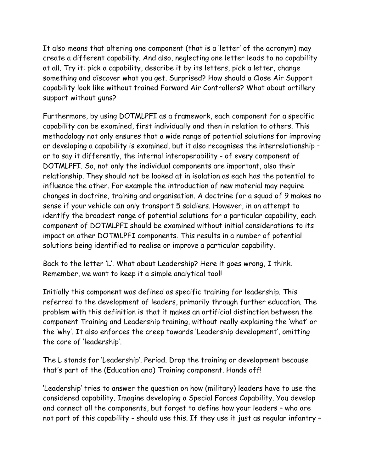It also means that altering one component (that is a 'letter' of the acronym) may create a different capability. And also, neglecting one letter leads to no capability at all. Try it: pick a capability, describe it by its letters, pick a letter, change something and discover what you get. Surprised? How should a Close Air Support capability look like without trained Forward Air Controllers? What about artillery support without guns?

Furthermore, by using DOTMLPFI as a framework, each component for a specific capability can be examined, first individually and then in relation to others. This methodology not only ensures that a wide range of potential solutions for improving or developing a capability is examined, but it also recognises the interrelationship – or to say it differently, the internal interoperability - of every component of DOTMLPFI. So, not only the individual components are important, also their relationship. They should not be looked at in isolation as each has the potential to influence the other. For example the introduction of new material may require changes in doctrine, training and organisation. A doctrine for a squad of 9 makes no sense if your vehicle can only transport 5 soldiers. However, in an attempt to identify the broadest range of potential solutions for a particular capability, each component of DOTMLPFI should be examined without initial considerations to its impact on other DOTMLPFI components. This results in a number of potential solutions being identified to realise or improve a particular capability.

Back to the letter 'L'. What about Leadership? Here it goes wrong, I think. Remember, we want to keep it a simple analytical tool!

Initially this component was defined as specific training for leadership. This referred to the development of leaders, primarily through further education. The problem with this definition is that it makes an artificial distinction between the component Training and Leadership training, without really explaining the 'what' or the 'why'. It also enforces the creep towards 'Leadership development', omitting the core of 'leadership'.

The L stands for 'Leadership'. Period. Drop the training or development because that's part of the (Education and) Training component. Hands off!

'Leadership' tries to answer the question on how (military) leaders have to use the considered capability. Imagine developing a Special Forces Capability. You develop and connect all the components, but forget to define how your leaders – who are not part of this capability - should use this. If they use it just as regular infantry –